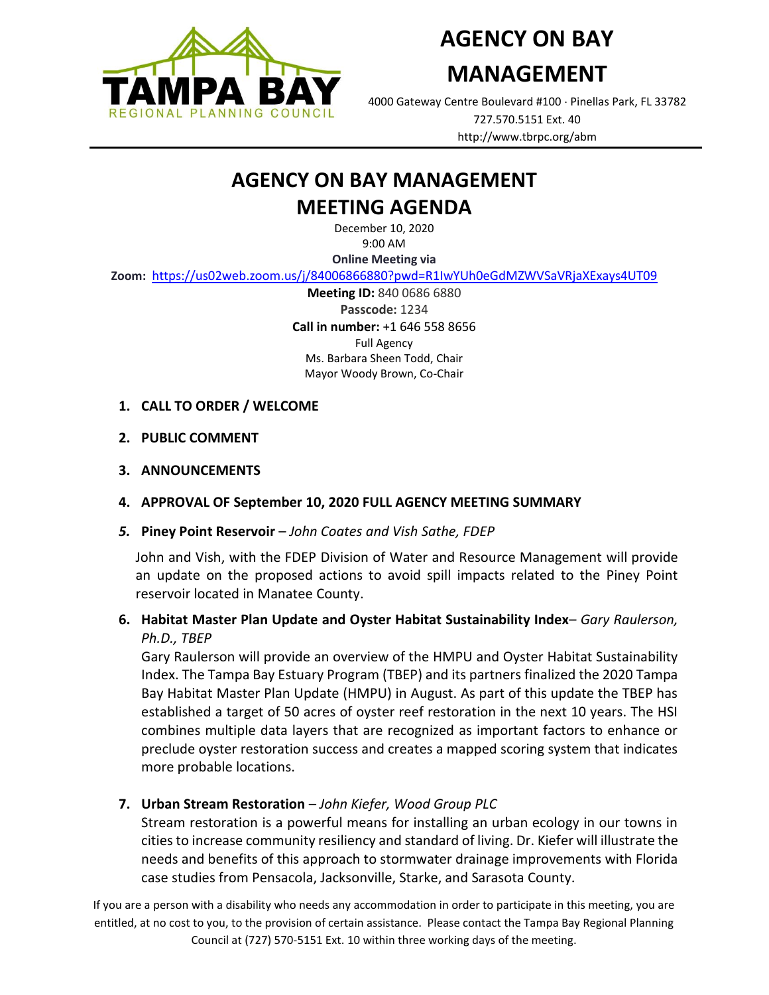

**AGENCY ON BAY** 

# **MANAGEMENT**

4000 Gateway Centre Boulevard #100 Pinellas Park, FL 33782 727.570.5151 Ext. 40 http://www.tbrpc.org/abm

## **AGENCY ON BAY MANAGEMENT MEETING AGENDA**

December 10, 2020 9:00 AM

**Online Meeting via** 

**Zoom:** <https://us02web.zoom.us/j/84006866880?pwd=R1IwYUh0eGdMZWVSaVRjaXExays4UT09>

**Meeting ID:** 840 0686 6880 **Passcode:** 1234 **Call in number:** +1 646 558 8656 Full Agency Ms. Barbara Sheen Todd, Chair Mayor Woody Brown, Co-Chair

- **1. CALL TO ORDER / WELCOME**
- **2. PUBLIC COMMENT**
- **3. ANNOUNCEMENTS**
- **4. APPROVAL OF September 10, 2020 FULL AGENCY MEETING SUMMARY**
- *5.* **Piney Point Reservoir** *John Coates and Vish Sathe, FDEP*

John and Vish, with the FDEP Division of Water and Resource Management will provide an update on the proposed actions to avoid spill impacts related to the Piney Point reservoir located in Manatee County.

## **6. Habitat Master Plan Update and Oyster Habitat Sustainability Index**– *Gary Raulerson, Ph.D., TBEP*

Gary Raulerson will provide an overview of the HMPU and Oyster Habitat Sustainability Index. The Tampa Bay Estuary Program (TBEP) and its partners finalized the 2020 Tampa Bay Habitat Master Plan Update (HMPU) in August. As part of this update the TBEP has established a target of 50 acres of oyster reef restoration in the next 10 years. The HSI combines multiple data layers that are recognized as important factors to enhance or preclude oyster restoration success and creates a mapped scoring system that indicates more probable locations.

#### **7. Urban Stream Restoration** – *John Kiefer, Wood Group PLC*

Stream restoration is a powerful means for installing an urban ecology in our towns in cities to increase community resiliency and standard of living. Dr. Kiefer will illustrate the needs and benefits of this approach to stormwater drainage improvements with Florida case studies from Pensacola, Jacksonville, Starke, and Sarasota County.

If you are a person with a disability who needs any accommodation in order to participate in this meeting, you are entitled, at no cost to you, to the provision of certain assistance. Please contact the Tampa Bay Regional Planning Council at (727) 570-5151 Ext. 10 within three working days of the meeting.